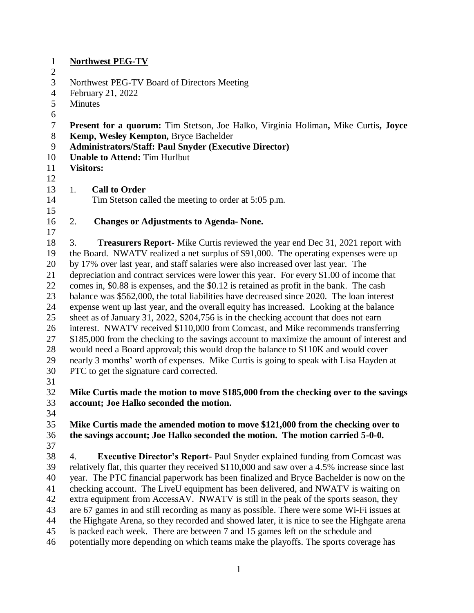| $\mathbf{1}$     | <b>Northwest PEG-TV</b>                                                                                                        |  |  |
|------------------|--------------------------------------------------------------------------------------------------------------------------------|--|--|
| $\boldsymbol{2}$ |                                                                                                                                |  |  |
| 3                | Northwest PEG-TV Board of Directors Meeting                                                                                    |  |  |
| $\overline{4}$   | February 21, 2022                                                                                                              |  |  |
| 5                | Minutes                                                                                                                        |  |  |
| 6                |                                                                                                                                |  |  |
| $\tau$           | <b>Present for a quorum:</b> Tim Stetson, Joe Halko, Virginia Holiman, Mike Curtis, Joyce                                      |  |  |
| $8\,$            | Kemp, Wesley Kempton, Bryce Bachelder                                                                                          |  |  |
| 9                | Administrators/Staff: Paul Snyder (Executive Director)                                                                         |  |  |
| 10               | <b>Unable to Attend: Tim Hurlbut</b>                                                                                           |  |  |
| 11               | <b>Visitors:</b>                                                                                                               |  |  |
| 12               |                                                                                                                                |  |  |
| 13               | <b>Call to Order</b><br>1.                                                                                                     |  |  |
| 14               | Tim Stetson called the meeting to order at 5:05 p.m.                                                                           |  |  |
| 15               |                                                                                                                                |  |  |
| 16               | 2.<br><b>Changes or Adjustments to Agenda- None.</b>                                                                           |  |  |
| 17               |                                                                                                                                |  |  |
| 18               | <b>Treasurers Report-</b> Mike Curtis reviewed the year end Dec 31, 2021 report with<br>3.                                     |  |  |
| 19               | the Board. NWATV realized a net surplus of \$91,000. The operating expenses were up                                            |  |  |
| 20               | by 17% over last year, and staff salaries were also increased over last year. The                                              |  |  |
| 21               | depreciation and contract services were lower this year. For every \$1.00 of income that                                       |  |  |
| 22               | comes in, \$0.88 is expenses, and the \$0.12 is retained as profit in the bank. The cash                                       |  |  |
| 23               | balance was \$562,000, the total liabilities have decreased since 2020. The loan interest                                      |  |  |
| 24               | expense went up last year, and the overall equity has increased. Looking at the balance                                        |  |  |
| 25               | sheet as of January 31, 2022, \$204,756 is in the checking account that does not earn                                          |  |  |
| 26               | interest. NWATV received \$110,000 from Comcast, and Mike recommends transferring                                              |  |  |
| 27               | \$185,000 from the checking to the savings account to maximize the amount of interest and                                      |  |  |
| 28               | would need a Board approval; this would drop the balance to \$110K and would cover                                             |  |  |
| 29               | nearly 3 months' worth of expenses. Mike Curtis is going to speak with Lisa Hayden at                                          |  |  |
| 30               | PTC to get the signature card corrected.                                                                                       |  |  |
| 31<br>32         |                                                                                                                                |  |  |
| 33               | Mike Curtis made the motion to move \$185,000 from the checking over to the savings<br>account; Joe Halko seconded the motion. |  |  |
| 34               |                                                                                                                                |  |  |
| 35               | Mike Curtis made the amended motion to move \$121,000 from the checking over to                                                |  |  |
| 36               | the savings account; Joe Halko seconded the motion. The motion carried 5-0-0.                                                  |  |  |
| 37               |                                                                                                                                |  |  |
| 38               | <b>Executive Director's Report-</b> Paul Snyder explained funding from Comcast was<br>4.                                       |  |  |
| 39               | relatively flat, this quarter they received \$110,000 and saw over a 4.5% increase since last                                  |  |  |
| 40               | year. The PTC financial paperwork has been finalized and Bryce Bachelder is now on the                                         |  |  |
| 41               | checking account. The LiveU equipment has been delivered, and NWATV is waiting on                                              |  |  |
| 42               | extra equipment from AccessAV. NWATV is still in the peak of the sports season, they                                           |  |  |
| 43               | are 67 games in and still recording as many as possible. There were some Wi-Fi issues at                                       |  |  |
| 44               | the Highgate Arena, so they recorded and showed later, it is nice to see the Highgate arena                                    |  |  |
| 45               | is packed each week. There are between 7 and 15 games left on the schedule and                                                 |  |  |
| 46               | potentially more depending on which teams make the playoffs. The sports coverage has                                           |  |  |
|                  |                                                                                                                                |  |  |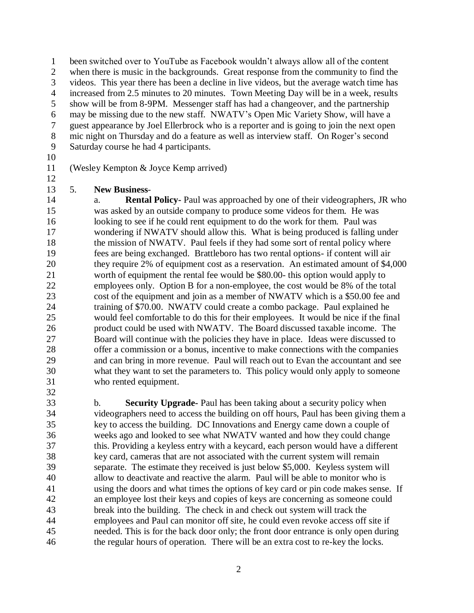been switched over to YouTube as Facebook wouldn't always allow all of the content

- when there is music in the backgrounds. Great response from the community to find the
- videos. This year there has been a decline in live videos, but the average watch time has
- 4 increased from 2.5 minutes to 20 minutes. Town Meeting Day will be in a week, results show will be from 8-9PM. Messenger staff has had a changeover, and the partnership
- may be missing due to the new staff. NWATV's Open Mic Variety Show, will have a
- guest appearance by Joel Ellerbrock who is a reporter and is going to join the next open
- mic night on Thursday and do a feature as well as interview staff. On Roger's second
- Saturday course he had 4 participants.
- 

- (Wesley Kempton & Joyce Kemp arrived)
- 5. **New Business**-

 a. **Rental Policy-** Paul was approached by one of their videographers, JR who was asked by an outside company to produce some videos for them. He was looking to see if he could rent equipment to do the work for them. Paul was wondering if NWATV should allow this. What is being produced is falling under 18 the mission of NWATV. Paul feels if they had some sort of rental policy where fees are being exchanged. Brattleboro has two rental options- if content will air they require 2% of equipment cost as a reservation. An estimated amount of \$4,000 worth of equipment the rental fee would be \$80.00- this option would apply to employees only. Option B for a non-employee, the cost would be 8% of the total cost of the equipment and join as a member of NWATV which is a \$50.00 fee and training of \$70.00. NWATV could create a combo package. Paul explained he would feel comfortable to do this for their employees. It would be nice if the final product could be used with NWATV. The Board discussed taxable income. The Board will continue with the policies they have in place. Ideas were discussed to offer a commission or a bonus, incentive to make connections with the companies and can bring in more revenue. Paul will reach out to Evan the accountant and see what they want to set the parameters to. This policy would only apply to someone who rented equipment. 

 b. **Security Upgrade-** Paul has been taking about a security policy when videographers need to access the building on off hours, Paul has been giving them a key to access the building. DC Innovations and Energy came down a couple of weeks ago and looked to see what NWATV wanted and how they could change this. Providing a keyless entry with a keycard, each person would have a different key card, cameras that are not associated with the current system will remain separate. The estimate they received is just below \$5,000. Keyless system will allow to deactivate and reactive the alarm. Paul will be able to monitor who is using the doors and what times the options of key card or pin code makes sense. If an employee lost their keys and copies of keys are concerning as someone could break into the building. The check in and check out system will track the employees and Paul can monitor off site, he could even revoke access off site if needed. This is for the back door only; the front door entrance is only open during the regular hours of operation. There will be an extra cost to re-key the locks.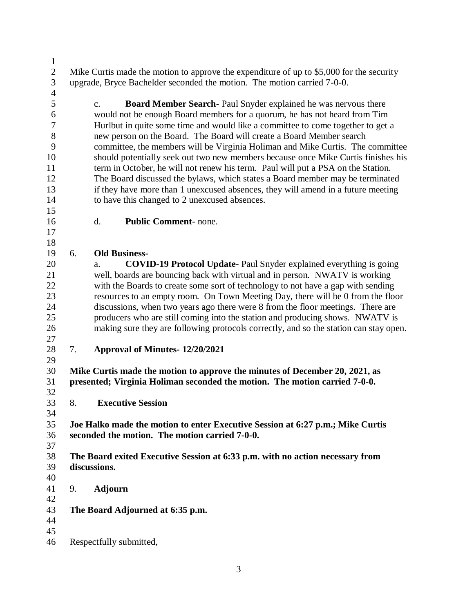2 Mike Curtis made the motion to approve the expenditure of up to \$5,000 for the security upgrade, Bryce Bachelder seconded the motion. The motion carried 7-0-0.

 c. **Board Member Search-** Paul Snyder explained he was nervous there would not be enough Board members for a quorum, he has not heard from Tim Hurlbut in quite some time and would like a committee to come together to get a new person on the Board. The Board will create a Board Member search committee, the members will be Virginia Holiman and Mike Curtis. The committee should potentially seek out two new members because once Mike Curtis finishes his term in October, he will not renew his term. Paul will put a PSA on the Station. The Board discussed the bylaws, which states a Board member may be terminated if they have more than 1 unexcused absences, they will amend in a future meeting to have this changed to 2 unexcused absences.

d. **Public Comment**- none.

 

## 6. **Old Business-**

 a. **COVID-19 Protocol Update**- Paul Snyder explained everything is going well, boards are bouncing back with virtual and in person. NWATV is working with the Boards to create some sort of technology to not have a gap with sending resources to an empty room. On Town Meeting Day, there will be 0 from the floor discussions, when two years ago there were 8 from the floor meetings. There are producers who are still coming into the station and producing shows. NWATV is making sure they are following protocols correctly, and so the station can stay open.

7. **Approval of Minutes- 12/20/2021**

 **Mike Curtis made the motion to approve the minutes of December 20, 2021, as presented; Virginia Holiman seconded the motion. The motion carried 7-0-0.**  

8. **Executive Session**

 **Joe Halko made the motion to enter Executive Session at 6:27 p.m.; Mike Curtis seconded the motion. The motion carried 7-0-0.** 

- **The Board exited Executive Session at 6:33 p.m. with no action necessary from discussions.**
- 9. **Adjourn**
- 

**The Board Adjourned at 6:35 p.m.**

Respectfully submitted,